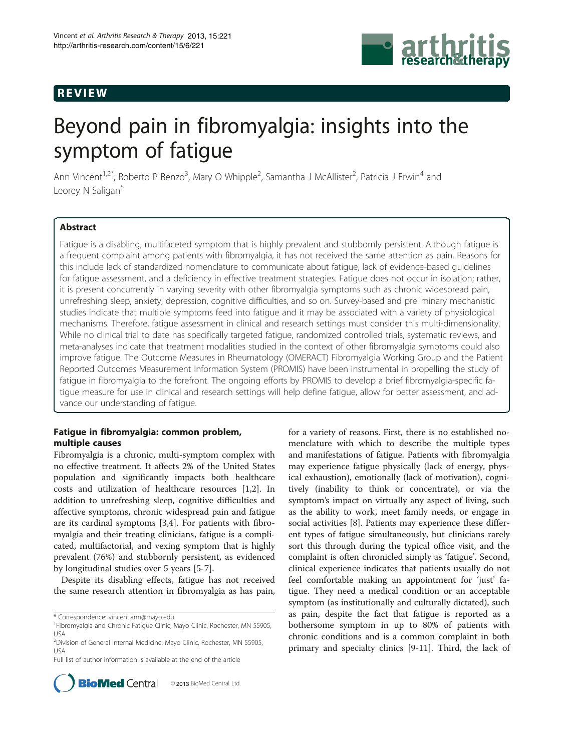# REVIEW



# Beyond pain in fibromyalgia: insights into the symptom of fatigue

Ann Vincent<sup>1,2\*</sup>, Roberto P Benzo<sup>3</sup>, Mary O Whipple<sup>2</sup>, Samantha J McAllister<sup>2</sup>, Patricia J Erwin<sup>4</sup> and Leorey N Saligan<sup>5</sup>

# Abstract

Fatigue is a disabling, multifaceted symptom that is highly prevalent and stubbornly persistent. Although fatigue is a frequent complaint among patients with fibromyalgia, it has not received the same attention as pain. Reasons for this include lack of standardized nomenclature to communicate about fatigue, lack of evidence-based guidelines for fatigue assessment, and a deficiency in effective treatment strategies. Fatigue does not occur in isolation; rather, it is present concurrently in varying severity with other fibromyalgia symptoms such as chronic widespread pain, unrefreshing sleep, anxiety, depression, cognitive difficulties, and so on. Survey-based and preliminary mechanistic studies indicate that multiple symptoms feed into fatigue and it may be associated with a variety of physiological mechanisms. Therefore, fatigue assessment in clinical and research settings must consider this multi-dimensionality. While no clinical trial to date has specifically targeted fatigue, randomized controlled trials, systematic reviews, and meta-analyses indicate that treatment modalities studied in the context of other fibromyalgia symptoms could also improve fatigue. The Outcome Measures in Rheumatology (OMERACT) Fibromyalgia Working Group and the Patient Reported Outcomes Measurement Information System (PROMIS) have been instrumental in propelling the study of fatigue in fibromyalgia to the forefront. The ongoing efforts by PROMIS to develop a brief fibromyalgia-specific fatigue measure for use in clinical and research settings will help define fatigue, allow for better assessment, and advance our understanding of fatigue.

# Fatigue in fibromyalgia: common problem, multiple causes

Fibromyalgia is a chronic, multi-symptom complex with no effective treatment. It affects 2% of the United States population and significantly impacts both healthcare costs and utilization of healthcare resources [[1,2\]](#page-10-0). In addition to unrefreshing sleep, cognitive difficulties and affective symptoms, chronic widespread pain and fatigue are its cardinal symptoms [\[3,4](#page-10-0)]. For patients with fibromyalgia and their treating clinicians, fatigue is a complicated, multifactorial, and vexing symptom that is highly prevalent (76%) and stubbornly persistent, as evidenced by longitudinal studies over 5 years [\[5](#page-10-0)-[7\]](#page-10-0).

Despite its disabling effects, fatigue has not received the same research attention in fibromyalgia as has pain,

\* Correspondence: [vincent.ann@mayo.edu](mailto:vincent.ann@mayo.edu) <sup>1</sup>

Full list of author information is available at the end of the article



for a variety of reasons. First, there is no established nomenclature with which to describe the multiple types and manifestations of fatigue. Patients with fibromyalgia may experience fatigue physically (lack of energy, physical exhaustion), emotionally (lack of motivation), cognitively (inability to think or concentrate), or via the symptom's impact on virtually any aspect of living, such as the ability to work, meet family needs, or engage in social activities [[8\]](#page-10-0). Patients may experience these different types of fatigue simultaneously, but clinicians rarely sort this through during the typical office visit, and the complaint is often chronicled simply as 'fatigue'. Second, clinical experience indicates that patients usually do not feel comfortable making an appointment for 'just' fatigue. They need a medical condition or an acceptable symptom (as institutionally and culturally dictated), such as pain, despite the fact that fatigue is reported as a bothersome symptom in up to 80% of patients with chronic conditions and is a common complaint in both primary and specialty clinics [\[9-11](#page-10-0)]. Third, the lack of

<sup>&</sup>lt;sup>1</sup>Fibromyalgia and Chronic Fatigue Clinic, Mayo Clinic, Rochester, MN 55905, USA

<sup>&</sup>lt;sup>2</sup>Division of General Internal Medicine, Mayo Clinic, Rochester, MN 55905, USA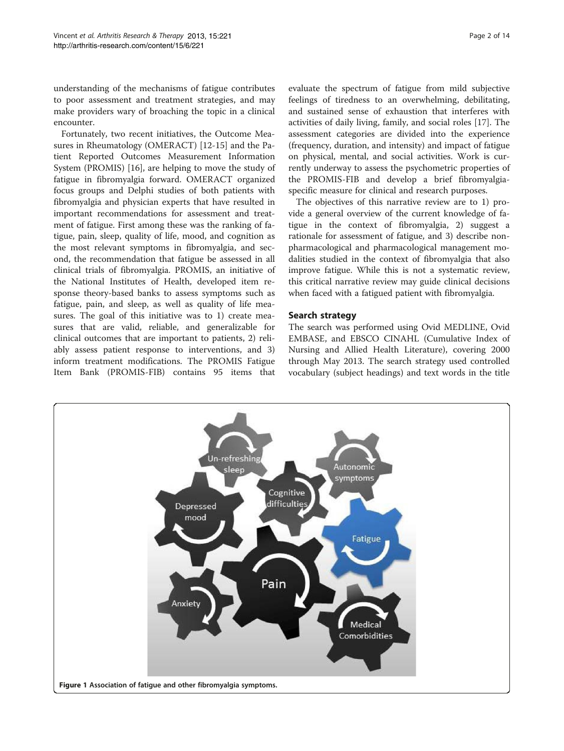<span id="page-1-0"></span>understanding of the mechanisms of fatigue contributes to poor assessment and treatment strategies, and may make providers wary of broaching the topic in a clinical encounter.

Fortunately, two recent initiatives, the Outcome Measures in Rheumatology (OMERACT) [\[12](#page-10-0)-[15](#page-10-0)] and the Patient Reported Outcomes Measurement Information System (PROMIS) [[16\]](#page-10-0), are helping to move the study of fatigue in fibromyalgia forward. OMERACT organized focus groups and Delphi studies of both patients with fibromyalgia and physician experts that have resulted in important recommendations for assessment and treatment of fatigue. First among these was the ranking of fatigue, pain, sleep, quality of life, mood, and cognition as the most relevant symptoms in fibromyalgia, and second, the recommendation that fatigue be assessed in all clinical trials of fibromyalgia. PROMIS, an initiative of the National Institutes of Health, developed item response theory-based banks to assess symptoms such as fatigue, pain, and sleep, as well as quality of life measures. The goal of this initiative was to 1) create measures that are valid, reliable, and generalizable for clinical outcomes that are important to patients, 2) reliably assess patient response to interventions, and 3) inform treatment modifications. The PROMIS Fatigue Item Bank (PROMIS-FIB) contains 95 items that

evaluate the spectrum of fatigue from mild subjective feelings of tiredness to an overwhelming, debilitating, and sustained sense of exhaustion that interferes with activities of daily living, family, and social roles [\[17](#page-10-0)]. The assessment categories are divided into the experience (frequency, duration, and intensity) and impact of fatigue on physical, mental, and social activities. Work is currently underway to assess the psychometric properties of the PROMIS-FIB and develop a brief fibromyalgiaspecific measure for clinical and research purposes.

The objectives of this narrative review are to 1) provide a general overview of the current knowledge of fatigue in the context of fibromyalgia, 2) suggest a rationale for assessment of fatigue, and 3) describe nonpharmacological and pharmacological management modalities studied in the context of fibromyalgia that also improve fatigue. While this is not a systematic review, this critical narrative review may guide clinical decisions when faced with a fatigued patient with fibromyalgia.

# Search strategy

The search was performed using Ovid MEDLINE, Ovid EMBASE, and EBSCO CINAHL (Cumulative Index of Nursing and Allied Health Literature), covering 2000 through May 2013. The search strategy used controlled vocabulary (subject headings) and text words in the title

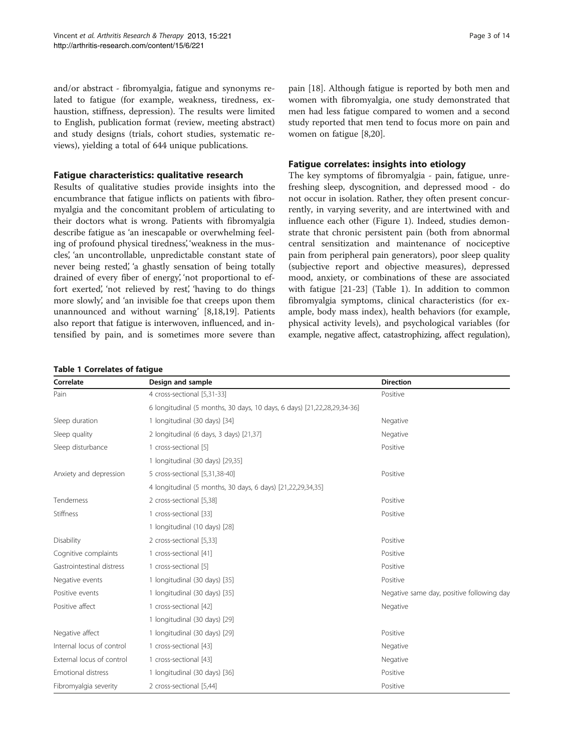<span id="page-2-0"></span>and/or abstract - fibromyalgia, fatigue and synonyms related to fatigue (for example, weakness, tiredness, exhaustion, stiffness, depression). The results were limited to English, publication format (review, meeting abstract) and study designs (trials, cohort studies, systematic reviews), yielding a total of 644 unique publications.

# Fatigue characteristics: qualitative research

Results of qualitative studies provide insights into the encumbrance that fatigue inflicts on patients with fibromyalgia and the concomitant problem of articulating to their doctors what is wrong. Patients with fibromyalgia describe fatigue as 'an inescapable or overwhelming feeling of profound physical tiredness', 'weakness in the muscles', 'an uncontrollable, unpredictable constant state of never being rested', 'a ghastly sensation of being totally drained of every fiber of energy', 'not proportional to effort exerted', 'not relieved by rest', 'having to do things more slowly', and 'an invisible foe that creeps upon them unannounced and without warning' [[8](#page-10-0),[18](#page-10-0),[19](#page-10-0)]. Patients also report that fatigue is interwoven, influenced, and intensified by pain, and is sometimes more severe than

pain [[18\]](#page-10-0). Although fatigue is reported by both men and women with fibromyalgia, one study demonstrated that men had less fatigue compared to women and a second study reported that men tend to focus more on pain and women on fatigue [[8,20](#page-10-0)].

# Fatigue correlates: insights into etiology

The key symptoms of fibromyalgia - pain, fatigue, unrefreshing sleep, dyscognition, and depressed mood - do not occur in isolation. Rather, they often present concurrently, in varying severity, and are intertwined with and influence each other (Figure [1](#page-1-0)). Indeed, studies demonstrate that chronic persistent pain (both from abnormal central sensitization and maintenance of nociceptive pain from peripheral pain generators), poor sleep quality (subjective report and objective measures), depressed mood, anxiety, or combinations of these are associated with fatigue [\[21](#page-10-0)-[23\]](#page-10-0) (Table 1). In addition to common fibromyalgia symptoms, clinical characteristics (for example, body mass index), health behaviors (for example, physical activity levels), and psychological variables (for example, negative affect, catastrophizing, affect regulation),

# Table 1 Correlates of fatigue

| Correlate                 | Design and sample                                           | <b>Direction</b>                                                        |  |  |  |
|---------------------------|-------------------------------------------------------------|-------------------------------------------------------------------------|--|--|--|
| Pain                      | 4 cross-sectional [5,31-33]                                 | Positive                                                                |  |  |  |
|                           |                                                             | 6 longitudinal (5 months, 30 days, 10 days, 6 days) [21,22,28,29,34-36] |  |  |  |
| Sleep duration            | 1 longitudinal (30 days) [34]                               | Negative                                                                |  |  |  |
| Sleep quality             | 2 longitudinal (6 days, 3 days) [21,37]                     | Negative                                                                |  |  |  |
| Sleep disturbance         | 1 cross-sectional [5]                                       | Positive                                                                |  |  |  |
|                           | 1 longitudinal (30 days) [29,35]                            |                                                                         |  |  |  |
| Anxiety and depression    | 5 cross-sectional [5,31,38-40]                              | Positive                                                                |  |  |  |
|                           | 4 longitudinal (5 months, 30 days, 6 days) [21,22,29,34,35] |                                                                         |  |  |  |
| Tenderness                | 2 cross-sectional [5,38]                                    | Positive                                                                |  |  |  |
| <b>Stiffness</b>          | 1 cross-sectional [33]                                      | Positive                                                                |  |  |  |
|                           | 1 longitudinal (10 days) [28]                               |                                                                         |  |  |  |
| Disability                | 2 cross-sectional [5,33]                                    | Positive                                                                |  |  |  |
| Cognitive complaints      | 1 cross-sectional [41]                                      | Positive                                                                |  |  |  |
| Gastrointestinal distress | 1 cross-sectional [5]                                       | Positive                                                                |  |  |  |
| Negative events           | 1 longitudinal (30 days) [35]                               | Positive                                                                |  |  |  |
| Positive events           | 1 longitudinal (30 days) [35]                               | Negative same day, positive following day                               |  |  |  |
| Positive affect           | 1 cross-sectional [42]                                      | Negative                                                                |  |  |  |
|                           | 1 longitudinal (30 days) [29]                               |                                                                         |  |  |  |
| Negative affect           | 1 longitudinal (30 days) [29]                               | Positive                                                                |  |  |  |
| Internal locus of control | 1 cross-sectional [43]                                      | Negative                                                                |  |  |  |
| External locus of control | 1 cross-sectional [43]                                      | Negative                                                                |  |  |  |
| <b>Emotional distress</b> | 1 longitudinal (30 days) [36]                               | Positive                                                                |  |  |  |
| Fibromyalgia severity     | 2 cross-sectional [5,44]                                    | Positive                                                                |  |  |  |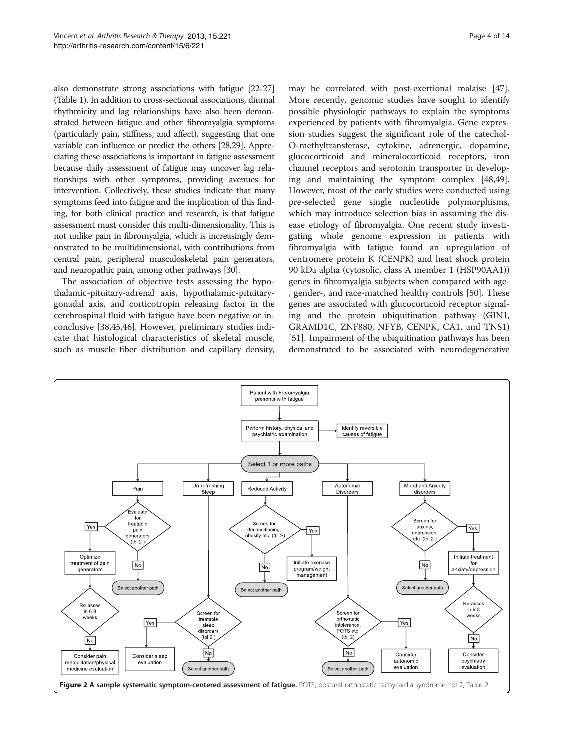<span id="page-3-0"></span>also demonstrate strong associations with fatigue [\[22-27](#page-10-0)] (Table [1](#page-2-0)). In addition to cross-sectional associations, diurnal rhythmicity and lag relationships have also been demonstrated between fatigue and other fibromyalgia symptoms (particularly pain, stiffness, and affect), suggesting that one variable can influence or predict the others [[28,29](#page-10-0)]. Appreciating these associations is important in fatigue assessment because daily assessment of fatigue may uncover lag relationships with other symptoms, providing avenues for intervention. Collectively, these studies indicate that many symptoms feed into fatigue and the implication of this finding, for both clinical practice and research, is that fatigue assessment must consider this multi-dimensionality. This is not unlike pain in fibromyalgia, which is increasingly demonstrated to be multidimensional, with contributions from central pain, peripheral musculoskeletal pain generators, and neuropathic pain, among other pathways [\[30\]](#page-10-0).

The association of objective tests assessing the hypothalamic-pituitary-adrenal axis, hypothalamic-pituitarygonadal axis, and corticotropin releasing factor in the cerebrospinal fluid with fatigue have been negative or inconclusive [[38](#page-10-0),[45](#page-11-0),[46](#page-11-0)]. However, preliminary studies indicate that histological characteristics of skeletal muscle, such as muscle fiber distribution and capillary density, may be correlated with post-exertional malaise [\[47](#page-11-0)]. More recently, genomic studies have sought to identify possible physiologic pathways to explain the symptoms experienced by patients with fibromyalgia. Gene expression studies suggest the significant role of the catechol-O-methyltransferase, cytokine, adrenergic, dopamine, glucocorticoid and mineralocorticoid receptors, iron channel receptors and serotonin transporter in developing and maintaining the symptom complex [\[48,49](#page-11-0)]. However, most of the early studies were conducted using pre-selected gene single nucleotide polymorphisms, which may introduce selection bias in assuming the disease etiology of fibromyalgia. One recent study investigating whole genome expression in patients with fibromyalgia with fatigue found an upregulation of centromere protein K (CENPK) and heat shock protein 90 kDa alpha (cytosolic, class A member 1 (HSP90AA1)) genes in fibromyalgia subjects when compared with age- , gender-, and race-matched healthy controls [[50\]](#page-11-0). These genes are associated with glucocorticoid receptor signaling and the protein ubiquitination pathway (GIN1, GRAMD1C, ZNF880, NFYB, CENPK, CA1, and TNS1) [[51\]](#page-11-0). Impairment of the ubiquitination pathways has been demonstrated to be associated with neurodegenerative

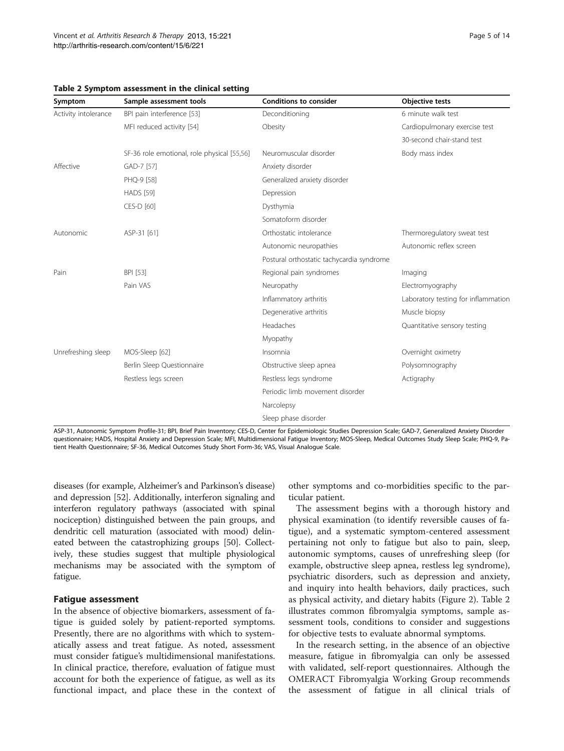| Symptom              | Sample assessment tools                     | <b>Conditions to consider</b>             | <b>Objective tests</b>              |
|----------------------|---------------------------------------------|-------------------------------------------|-------------------------------------|
| Activity intolerance | BPI pain interference [53]                  | Deconditioning                            | 6 minute walk test                  |
|                      | MFI reduced activity [54]                   | Obesity                                   | Cardiopulmonary exercise test       |
|                      |                                             |                                           | 30-second chair-stand test          |
|                      | SF-36 role emotional, role physical [55,56] | Neuromuscular disorder                    | Body mass index                     |
| Affective            | GAD-7 [57]                                  | Anxiety disorder                          |                                     |
|                      | PHQ-9 [58]                                  | Generalized anxiety disorder              |                                     |
|                      | <b>HADS</b> [59]                            | Depression                                |                                     |
|                      | CES-D [60]                                  | Dysthymia                                 |                                     |
|                      |                                             | Somatoform disorder                       |                                     |
| Autonomic            | ASP-31 [61]                                 | Orthostatic intolerance                   | Thermoregulatory sweat test         |
|                      |                                             | Autonomic neuropathies                    | Autonomic reflex screen             |
|                      |                                             | Postural orthostatic tachycardia syndrome |                                     |
| Pain                 | BPI [53]                                    | Regional pain syndromes                   | Imaging                             |
|                      | Pain VAS                                    | Neuropathy                                | Electromyography                    |
|                      |                                             | Inflammatory arthritis                    | Laboratory testing for inflammation |
|                      |                                             | Degenerative arthritis                    | Muscle biopsy                       |
|                      |                                             | Headaches                                 | Quantitative sensory testing        |
|                      |                                             | Myopathy                                  |                                     |
| Unrefreshing sleep   | MOS-Sleep [62]                              | Insomnia                                  | Overnight oximetry                  |
|                      | Berlin Sleep Questionnaire                  | Obstructive sleep apnea                   | Polysomnography                     |
|                      | Restless legs screen                        | Restless legs syndrome                    | Actigraphy                          |
|                      |                                             | Periodic limb movement disorder           |                                     |
|                      |                                             | Narcolepsy                                |                                     |
|                      |                                             | Sleep phase disorder                      |                                     |

# <span id="page-4-0"></span>Table 2 Symptom assessment in the clinical setting

ASP-31, Autonomic Symptom Profile-31; BPI, Brief Pain Inventory; CES-D, Center for Epidemiologic Studies Depression Scale; GAD-7, Generalized Anxiety Disorder questionnaire; HADS, Hospital Anxiety and Depression Scale; MFI, Multidimensional Fatigue Inventory; MOS-Sleep, Medical Outcomes Study Sleep Scale; PHQ-9, Patient Health Questionnaire; SF-36, Medical Outcomes Study Short Form-36; VAS, Visual Analogue Scale.

diseases (for example, Alzheimer's and Parkinson's disease) and depression [\[52\]](#page-11-0). Additionally, interferon signaling and interferon regulatory pathways (associated with spinal nociception) distinguished between the pain groups, and dendritic cell maturation (associated with mood) delineated between the catastrophizing groups [\[50\]](#page-11-0). Collectively, these studies suggest that multiple physiological mechanisms may be associated with the symptom of fatigue.

## Fatigue assessment

In the absence of objective biomarkers, assessment of fatigue is guided solely by patient-reported symptoms. Presently, there are no algorithms with which to systematically assess and treat fatigue. As noted, assessment must consider fatigue's multidimensional manifestations. In clinical practice, therefore, evaluation of fatigue must account for both the experience of fatigue, as well as its functional impact, and place these in the context of other symptoms and co-morbidities specific to the particular patient.

The assessment begins with a thorough history and physical examination (to identify reversible causes of fatigue), and a systematic symptom-centered assessment pertaining not only to fatigue but also to pain, sleep, autonomic symptoms, causes of unrefreshing sleep (for example, obstructive sleep apnea, restless leg syndrome), psychiatric disorders, such as depression and anxiety, and inquiry into health behaviors, daily practices, such as physical activity, and dietary habits (Figure [2](#page-3-0)). Table 2 illustrates common fibromyalgia symptoms, sample assessment tools, conditions to consider and suggestions for objective tests to evaluate abnormal symptoms.

In the research setting, in the absence of an objective measure, fatigue in fibromyalgia can only be assessed with validated, self-report questionnaires. Although the OMERACT Fibromyalgia Working Group recommends the assessment of fatigue in all clinical trials of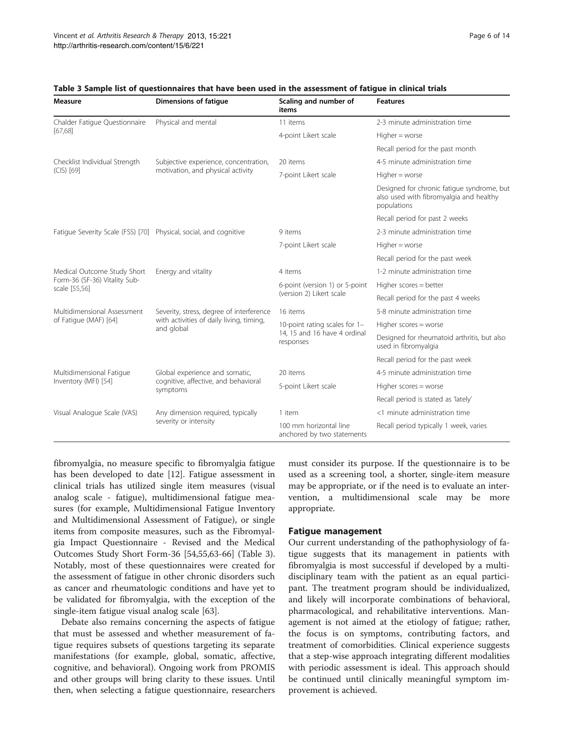| Measure                                                           | <b>Dimensions of fatique</b>                                                                       | Scaling and number of<br>items                                             | <b>Features</b>                                                                                      |
|-------------------------------------------------------------------|----------------------------------------------------------------------------------------------------|----------------------------------------------------------------------------|------------------------------------------------------------------------------------------------------|
| Chalder Fatigue Questionnaire<br>[67, 68]                         | Physical and mental                                                                                | 11 items                                                                   | 2-3 minute administration time                                                                       |
|                                                                   |                                                                                                    | 4-point Likert scale                                                       | $Higher = worse$                                                                                     |
|                                                                   |                                                                                                    |                                                                            | Recall period for the past month                                                                     |
| Checklist Individual Strength                                     | Subjective experience, concentration,<br>motivation, and physical activity                         | 20 items                                                                   | 4-5 minute administration time                                                                       |
| (CIS) [69]                                                        |                                                                                                    | 7-point Likert scale                                                       | $Higher = worse$                                                                                     |
|                                                                   |                                                                                                    |                                                                            | Designed for chronic fatigue syndrome, but<br>also used with fibromyalgia and healthy<br>populations |
|                                                                   |                                                                                                    |                                                                            | Recall period for past 2 weeks                                                                       |
| Fatique Severity Scale (FSS) [70] Physical, social, and cognitive |                                                                                                    | 9 items                                                                    | 2-3 minute administration time                                                                       |
|                                                                   |                                                                                                    | 7-point Likert scale                                                       | $Higher = worse$                                                                                     |
|                                                                   |                                                                                                    |                                                                            | Recall period for the past week                                                                      |
| Medical Outcome Study Short                                       | Energy and vitality                                                                                | 4 items                                                                    | 1-2 minute administration time                                                                       |
| Form-36 (SF-36) Vitality Sub-<br>scale [55,56]                    |                                                                                                    | 6-point (version 1) or 5-point<br>(version 2) Likert scale                 | Higher scores = better                                                                               |
|                                                                   |                                                                                                    |                                                                            | Recall period for the past 4 weeks                                                                   |
| Multidimensional Assessment                                       | Severity, stress, degree of interference<br>with activities of daily living, timing,<br>and global | 16 items                                                                   | 5-8 minute administration time                                                                       |
| of Fatigue (MAF) [64]                                             |                                                                                                    | 10-point rating scales for 1-<br>14, 15 and 16 have 4 ordinal<br>responses | Higher scores = worse                                                                                |
|                                                                   |                                                                                                    |                                                                            | Designed for rheumatoid arthritis, but also<br>used in fibromyalgia                                  |
|                                                                   |                                                                                                    |                                                                            | Recall period for the past week                                                                      |
| Multidimensional Fatique                                          | Global experience and somatic,                                                                     | 20 items                                                                   | 4-5 minute administration time                                                                       |
| Inventory (MFI) [54]                                              | cognitive, affective, and behavioral<br>symptoms                                                   | 5-point Likert scale                                                       | Higher scores = worse                                                                                |
|                                                                   |                                                                                                    |                                                                            | Recall period is stated as 'lately'                                                                  |
| Visual Analogue Scale (VAS)                                       | Any dimension required, typically                                                                  | 1 item                                                                     | <1 minute administration time                                                                        |
|                                                                   | severity or intensity                                                                              | 100 mm horizontal line<br>anchored by two statements                       | Recall period typically 1 week, varies                                                               |

## Table 3 Sample list of questionnaires that have been used in the assessment of fatigue in clinical trials

fibromyalgia, no measure specific to fibromyalgia fatigue has been developed to date [\[12](#page-10-0)]. Fatigue assessment in clinical trials has utilized single item measures (visual analog scale - fatigue), multidimensional fatigue measures (for example, Multidimensional Fatigue Inventory and Multidimensional Assessment of Fatigue), or single items from composite measures, such as the Fibromyalgia Impact Questionnaire - Revised and the Medical Outcomes Study Short Form-36 [\[54,55,63](#page-11-0)-[66\]](#page-11-0) (Table 3). Notably, most of these questionnaires were created for the assessment of fatigue in other chronic disorders such as cancer and rheumatologic conditions and have yet to be validated for fibromyalgia, with the exception of the single-item fatigue visual analog scale [[63](#page-11-0)].

Debate also remains concerning the aspects of fatigue that must be assessed and whether measurement of fatigue requires subsets of questions targeting its separate manifestations (for example, global, somatic, affective, cognitive, and behavioral). Ongoing work from PROMIS and other groups will bring clarity to these issues. Until then, when selecting a fatigue questionnaire, researchers

must consider its purpose. If the questionnaire is to be used as a screening tool, a shorter, single-item measure may be appropriate, or if the need is to evaluate an intervention, a multidimensional scale may be more appropriate.

## Fatigue management

Our current understanding of the pathophysiology of fatigue suggests that its management in patients with fibromyalgia is most successful if developed by a multidisciplinary team with the patient as an equal participant. The treatment program should be individualized, and likely will incorporate combinations of behavioral, pharmacological, and rehabilitative interventions. Management is not aimed at the etiology of fatigue; rather, the focus is on symptoms, contributing factors, and treatment of comorbidities. Clinical experience suggests that a step-wise approach integrating different modalities with periodic assessment is ideal. This approach should be continued until clinically meaningful symptom improvement is achieved.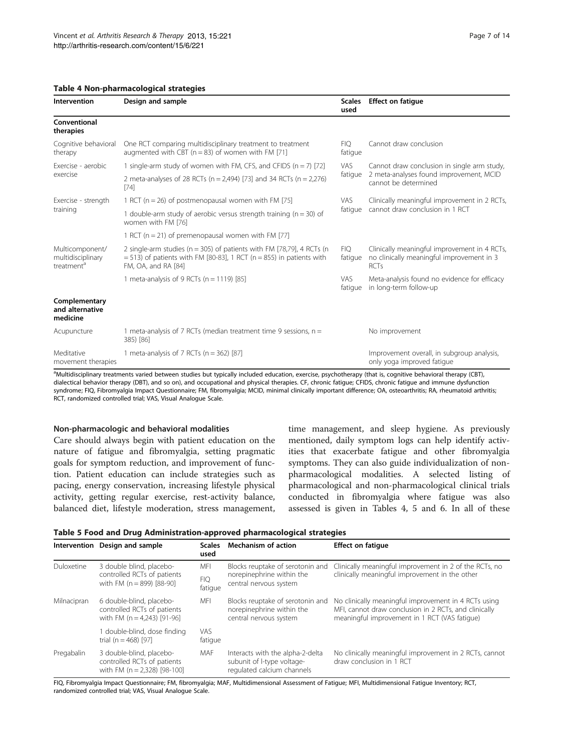## <span id="page-6-0"></span>Table 4 Non-pharmacological strategies

| Intervention                                                   | Design and sample                                                                                                                                                               | <b>Scales</b><br>used | <b>Effect on fatigue</b>                                                                                       |
|----------------------------------------------------------------|---------------------------------------------------------------------------------------------------------------------------------------------------------------------------------|-----------------------|----------------------------------------------------------------------------------------------------------------|
| Conventional<br>therapies                                      |                                                                                                                                                                                 |                       |                                                                                                                |
| Cognitive behavioral<br>therapy                                | One RCT comparing multidisciplinary treatment to treatment<br>augmented with CBT ( $n = 83$ ) of women with FM [71]                                                             | <b>FIQ</b><br>fatique | Cannot draw conclusion                                                                                         |
| Exercise - aerobic<br>exercise                                 | 1 single-arm study of women with FM, CFS, and CFIDS ( $n = 7$ ) [72]                                                                                                            | <b>VAS</b>            | Cannot draw conclusion in single arm study,<br>2 meta-analyses found improvement, MCID<br>cannot be determined |
|                                                                | 2 meta-analyses of 28 RCTs ( $n = 2,494$ ) [73] and 34 RCTs ( $n = 2,276$ )<br>$[74]$                                                                                           | fatique               |                                                                                                                |
| Exercise - strength<br>training                                | 1 RCT ( $n = 26$ ) of postmenopausal women with FM [75]                                                                                                                         | VAS.                  | Clinically meaningful improvement in 2 RCTs,<br>cannot draw conclusion in 1 RCT                                |
|                                                                | 1 double-arm study of aerobic versus strength training ( $n = 30$ ) of<br>women with FM [76]                                                                                    | fatique               |                                                                                                                |
|                                                                | 1 RCT ( $n = 21$ ) of premenopausal women with FM [77]                                                                                                                          |                       |                                                                                                                |
| Multicomponent/<br>multidisciplinary<br>treatment <sup>a</sup> | 2 single-arm studies ( $n = 305$ ) of patients with FM [78,79], 4 RCTs ( $n$<br>$=$ 513) of patients with FM [80-83], 1 RCT (n $=$ 855) in patients with<br>FM, OA, and RA [84] | <b>FIO</b><br>fatigue | Clinically meaningful improvement in 4 RCTs,<br>no clinically meaningful improvement in 3<br><b>RCTs</b>       |
|                                                                | 1 meta-analysis of 9 RCTs ( $n = 1119$ ) [85]                                                                                                                                   | <b>VAS</b><br>fatique | Meta-analysis found no evidence for efficacy<br>in long-term follow-up                                         |
| Complementary<br>and alternative<br>medicine                   |                                                                                                                                                                                 |                       |                                                                                                                |
| Acupuncture                                                    | 1 meta-analysis of 7 RCTs (median treatment time 9 sessions, $n =$<br>385) [86]                                                                                                 |                       | No improvement                                                                                                 |
| Meditative<br>movement therapies                               | 1 meta-analysis of 7 RCTs ( $n = 362$ ) [87]                                                                                                                                    |                       | Improvement overall, in subgroup analysis,<br>only yoga improved fatigue                                       |

<sup>a</sup>Multidisciplinary treatments varied between studies but typically included education, exercise, psychotherapy (that is, cognitive behavioral therapy (CBT), dialectical behavior therapy (DBT), and so on), and occupational and physical therapies. CF, chronic fatigue; CFIDS, chronic fatigue and immune dysfunction syndrome; FIQ, Fibromyalgia Impact Questionnaire; FM, fibromyalgia; MCID, minimal clinically important difference; OA, osteoarthritis; RA, rheumatoid arthritis; RCT, randomized controlled trial; VAS, Visual Analogue Scale.

# Non-pharmacologic and behavioral modalities

Care should always begin with patient education on the nature of fatigue and fibromyalgia, setting pragmatic goals for symptom reduction, and improvement of function. Patient education can include strategies such as pacing, energy conservation, increasing lifestyle physical activity, getting regular exercise, rest-activity balance, balanced diet, lifestyle moderation, stress management,

time management, and sleep hygiene. As previously mentioned, daily symptom logs can help identify activities that exacerbate fatigue and other fibromyalgia symptoms. They can also guide individualization of nonpharmacological modalities. A selected listing of pharmacological and non-pharmacological clinical trials conducted in fibromyalgia where fatigue was also assessed is given in Tables 4, 5 and [6](#page-7-0). In all of these

Table 5 Food and Drug Administration-approved pharmacological strategies

| Intervention | Design and sample                                                                          | <b>Scales</b><br>used | Mechanism of action                                                                          | <b>Effect on fatique</b>                                                                                                                                       |  |
|--------------|--------------------------------------------------------------------------------------------|-----------------------|----------------------------------------------------------------------------------------------|----------------------------------------------------------------------------------------------------------------------------------------------------------------|--|
| Duloxetine   | 3 double blind, placebo-<br>controlled RCTs of patients<br>with FM $(n = 899)$ [88-90]     | MFI<br><b>FIQ</b>     | Blocks reuptake of serotonin and<br>norepinephrine within the<br>central nervous system      | Clinically meaningful improvement in 2 of the RCTs, no<br>clinically meaningful improvement in the other                                                       |  |
| Milnacipran  | 6 double-blind, placebo-<br>controlled RCTs of patients<br>with FM ( $n = 4,243$ ) [91-96] | fatique<br>MFI        | Blocks reuptake of serotonin and<br>norepinephrine within the<br>central nervous system      | No clinically meaningful improvement in 4 RCTs using<br>MFI, cannot draw conclusion in 2 RCTs, and clinically<br>meaningful improvement in 1 RCT (VAS fatigue) |  |
|              | I double-blind, dose finding<br>trial (n = 468) [97]                                       | <b>VAS</b><br>fatique |                                                                                              |                                                                                                                                                                |  |
| Pregabalin   | 3 double-blind, placebo-<br>controlled RCTs of patients<br>with FM $(n = 2.328)$ [98-100]  | MAF                   | Interacts with the alpha-2-delta<br>subunit of I-type voltage-<br>regulated calcium channels | No clinically meaningful improvement in 2 RCTs, cannot<br>draw conclusion in 1 RCT                                                                             |  |

FIQ, Fibromyalgia Impact Questionnaire; FM, fibromyalgia; MAF, Multidimensional Assessment of Fatigue; MFI, Multidimensional Fatigue Inventory; RCT, randomized controlled trial; VAS, Visual Analogue Scale.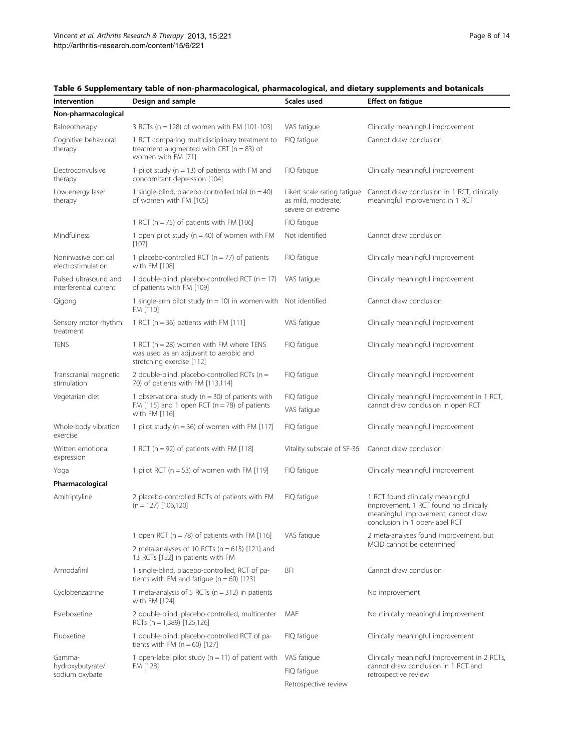| Intervention                                    | Design and sample                                                                                                        | Scales used                                                            | <b>Effect on fatigue</b>                                                                                                                             |
|-------------------------------------------------|--------------------------------------------------------------------------------------------------------------------------|------------------------------------------------------------------------|------------------------------------------------------------------------------------------------------------------------------------------------------|
| Non-pharmacological                             |                                                                                                                          |                                                                        |                                                                                                                                                      |
| Balneotherapy                                   | 3 RCTs (n = 128) of women with FM [101-103]                                                                              | VAS fatigue                                                            | Clinically meaningful improvement                                                                                                                    |
| Cognitive behavioral<br>therapy                 | 1 RCT comparing multidisciplinary treatment to<br>treatment augmented with CBT ( $n = 83$ ) of<br>women with FM [71]     | FIQ fatique                                                            | Cannot draw conclusion                                                                                                                               |
| Electroconvulsive<br>therapy                    | 1 pilot study ( $n = 13$ ) of patients with FM and<br>concomitant depression [104]                                       | FIQ fatigue                                                            | Clinically meaningful improvement                                                                                                                    |
| Low-energy laser<br>therapy                     | 1 single-blind, placebo-controlled trial ( $n = 40$ )<br>of women with FM [105]                                          | Likert scale rating fatigue<br>as mild, moderate,<br>severe or extreme | Cannot draw conclusion in 1 RCT, clinically<br>meaningful improvement in 1 RCT                                                                       |
|                                                 | 1 RCT ( $n = 75$ ) of patients with FM [106]                                                                             | FIQ fatique                                                            |                                                                                                                                                      |
| Mindfulness                                     | 1 open pilot study ( $n = 40$ ) of women with FM<br>$[107]$                                                              | Not identified                                                         | Cannot draw conclusion                                                                                                                               |
| Noninvasive cortical<br>electrostimulation      | 1 placebo-controlled RCT ( $n = 77$ ) of patients<br>with FM [108]                                                       | FIQ fatigue                                                            | Clinically meaningful improvement                                                                                                                    |
| Pulsed ultrasound and<br>interferential current | 1 double-blind, placebo-controlled RCT ( $n = 17$ )<br>of patients with FM [109]                                         | VAS fatigue                                                            | Clinically meaningful improvement                                                                                                                    |
| Qigong                                          | 1 single-arm pilot study ( $n = 10$ ) in women with Not identified<br>FM [110]                                           |                                                                        | Cannot draw conclusion                                                                                                                               |
| Sensory motor rhythm<br>treatment               | 1 RCT ( $n = 36$ ) patients with FM [111]                                                                                | VAS fatigue                                                            | Clinically meaningful improvement                                                                                                                    |
| <b>TENS</b>                                     | 1 RCT ( $n = 28$ ) women with FM where TENS<br>was used as an adjuvant to aerobic and<br>stretching exercise [112]       | FIQ fatique                                                            | Clinically meaningful improvement                                                                                                                    |
| Transcranial magnetic<br>stimulation            | 2 double-blind, placebo-controlled RCTs ( $n =$<br>70) of patients with FM [113,114]                                     | FIQ fatigue                                                            | Clinically meaningful improvement                                                                                                                    |
| Vegetarian diet                                 | 1 observational study ( $n = 30$ ) of patients with<br>FM [115] and 1 open RCT ( $n = 78$ ) of patients<br>with FM [116] | FIQ fatique<br>VAS fatigue                                             | Clinically meaningful improvement in 1 RCT,<br>cannot draw conclusion in open RCT                                                                    |
| Whole-body vibration<br>exercise                | 1 pilot study ( $n = 36$ ) of women with FM [117]                                                                        | FIQ fatigue                                                            | Clinically meaningful improvement                                                                                                                    |
| Written emotional<br>expression                 | 1 RCT ( $n = 92$ ) of patients with FM [118]                                                                             | Vitality subscale of SF-36                                             | Cannot draw conclusion                                                                                                                               |
| Yoga                                            | 1 pilot RCT ( $n = 53$ ) of women with FM [119]                                                                          | FIQ fatigue                                                            | Clinically meaningful improvement                                                                                                                    |
| Pharmacological                                 |                                                                                                                          |                                                                        |                                                                                                                                                      |
| Amitriptyline                                   | 2 placebo-controlled RCTs of patients with FM<br>$(n = 127)$ [106,120]                                                   | FIQ fatique                                                            | 1 RCT found clinically meaningful<br>improvement, 1 RCT found no clinically<br>meaningful improvement, cannot draw<br>conclusion in 1 open-label RCT |
|                                                 | 1 open RCT ( $n = 78$ ) of patients with FM [116]                                                                        | VAS fatigue                                                            | 2 meta-analyses found improvement, but                                                                                                               |
|                                                 | 2 meta-analyses of 10 RCTs ( $n = 615$ ) [121] and<br>13 RCTs [122] in patients with FM                                  |                                                                        | MCID cannot be determined                                                                                                                            |
| Armodafinil                                     | 1 single-blind, placebo-controlled, RCT of pa-<br>tients with FM and fatigue ( $n = 60$ ) [123]                          | BFI                                                                    | Cannot draw conclusion                                                                                                                               |
| Cyclobenzaprine                                 | 1 meta-analysis of 5 RCTs ( $n = 312$ ) in patients<br>with FM [124]                                                     |                                                                        | No improvement                                                                                                                                       |
| Esreboxetine                                    | 2 double-blind, placebo-controlled, multicenter<br>RCTs (n = 1,389) [125,126]                                            | MAF                                                                    | No clinically meaningful improvement                                                                                                                 |
| Fluoxetine                                      | 1 double-blind, placebo-controlled RCT of pa-<br>tients with FM $(n = 60)$ [127]                                         | FIQ fatigue                                                            | Clinically meaningful improvement                                                                                                                    |
| Gamma-                                          | 1 open-label pilot study ( $n = 11$ ) of patient with                                                                    | VAS fatigue                                                            | Clinically meaningful improvement in 2 RCTs,                                                                                                         |
| hydroxybutyrate/<br>sodium oxybate              | FM [128]                                                                                                                 | FIQ fatique                                                            | cannot draw conclusion in 1 RCT and<br>retrospective review                                                                                          |
|                                                 |                                                                                                                          | Retrospective review                                                   |                                                                                                                                                      |

# <span id="page-7-0"></span>Table 6 Supplementary table of non-pharmacological, pharmacological, and dietary supplements and botanicals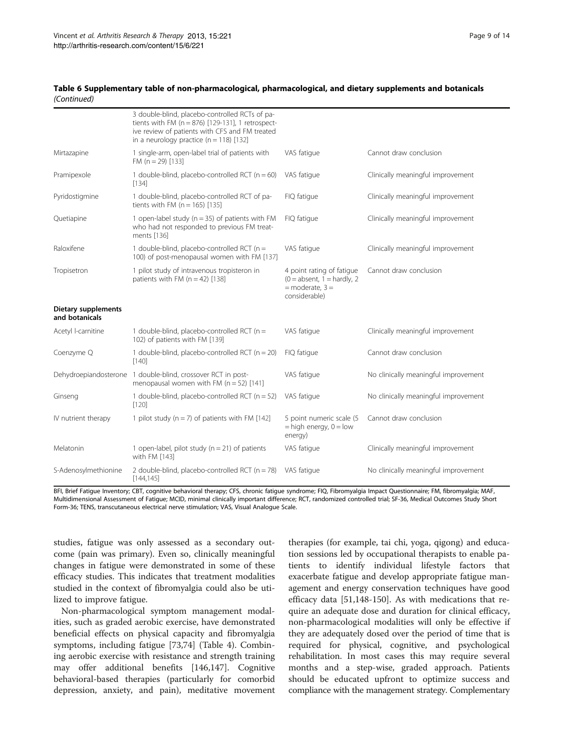## Table 6 Supplementary table of non-pharmacological, pharmacological, and dietary supplements and botanicals (Continued)

|                                              | 3 double-blind, placebo-controlled RCTs of pa-<br>tients with FM ( $n = 876$ ) [129-131], 1 retrospect-<br>ive review of patients with CFS and FM treated<br>in a neurology practice ( $n = 118$ ) [132] |                                                                                                    |                                      |
|----------------------------------------------|----------------------------------------------------------------------------------------------------------------------------------------------------------------------------------------------------------|----------------------------------------------------------------------------------------------------|--------------------------------------|
| Mirtazapine                                  | 1 single-arm, open-label trial of patients with<br>FM $(n = 29)$ [133]                                                                                                                                   | VAS fatigue                                                                                        | Cannot draw conclusion               |
| Pramipexole                                  | 1 double-blind, placebo-controlled RCT ( $n = 60$ )<br>[134]                                                                                                                                             | VAS fatigue                                                                                        | Clinically meaningful improvement    |
| Pyridostigmine                               | 1 double-blind, placebo-controlled RCT of pa-<br>tients with FM ( $n = 165$ ) [135]                                                                                                                      | FIQ fatique                                                                                        | Clinically meaningful improvement    |
| Quetiapine                                   | 1 open-label study ( $n = 35$ ) of patients with FM<br>who had not responded to previous FM treat-<br>ments [136]                                                                                        | FIQ fatique                                                                                        | Clinically meaningful improvement    |
| Raloxifene                                   | 1 double-blind, placebo-controlled RCT ( $n =$<br>100) of post-menopausal women with FM [137]                                                                                                            | VAS fatigue                                                                                        | Clinically meaningful improvement    |
| Tropisetron                                  | 1 pilot study of intravenous tropisteron in<br>patients with FM $(n = 42)$ [138]                                                                                                                         | 4 point rating of fatigue<br>$(0 = absent, 1 = hardly, 2)$<br>$=$ moderate, $3 =$<br>considerable) | Cannot draw conclusion               |
| <b>Dietary supplements</b><br>and botanicals |                                                                                                                                                                                                          |                                                                                                    |                                      |
| Acetyl I-carnitine                           | 1 double-blind, placebo-controlled RCT ( $n =$<br>102) of patients with FM [139]                                                                                                                         | VAS fatigue                                                                                        | Clinically meaningful improvement    |
| Coenzyme Q                                   | 1 double-blind, placebo-controlled RCT ( $n = 20$ )<br>$[140]$                                                                                                                                           | FIQ fatique                                                                                        | Cannot draw conclusion               |
|                                              | Dehydroepiandosterone 1 double-blind, crossover RCT in post-<br>menopausal women with FM ( $n = 52$ ) [141]                                                                                              | VAS fatigue                                                                                        | No clinically meaningful improvement |
| Ginseng                                      | 1 double-blind, placebo-controlled RCT ( $n = 52$ )<br>[120]                                                                                                                                             | VAS fatigue                                                                                        | No clinically meaningful improvement |
| IV nutrient therapy                          | 1 pilot study ( $n = 7$ ) of patients with FM [142]                                                                                                                                                      | 5 point numeric scale (5<br>$=$ high energy, $0 =$ low<br>energy)                                  | Cannot draw conclusion               |
| Melatonin                                    | 1 open-label, pilot study ( $n = 21$ ) of patients<br>with FM [143]                                                                                                                                      | VAS fatigue                                                                                        | Clinically meaningful improvement    |
| S-Adenosylmethionine                         | 2 double-blind, placebo-controlled RCT ( $n = 78$ )<br>[144, 145]                                                                                                                                        | VAS fatigue                                                                                        | No clinically meaningful improvement |

BFI, Brief Fatigue Inventory; CBT, cognitive behavioral therapy; CFS, chronic fatigue syndrome; FIQ, Fibromyalgia Impact Questionnaire; FM, fibromyalgia; MAF, Multidimensional Assessment of Fatigue; MCID, minimal clinically important difference; RCT, randomized controlled trial; SF-36, Medical Outcomes Study Short Form-36; TENS, transcutaneous electrical nerve stimulation; VAS, Visual Analogue Scale.

studies, fatigue was only assessed as a secondary outcome (pain was primary). Even so, clinically meaningful changes in fatigue were demonstrated in some of these efficacy studies. This indicates that treatment modalities studied in the context of fibromyalgia could also be utilized to improve fatigue.

Non-pharmacological symptom management modalities, such as graded aerobic exercise, have demonstrated beneficial effects on physical capacity and fibromyalgia symptoms, including fatigue [[73,74](#page-11-0)] (Table [4\)](#page-6-0). Combining aerobic exercise with resistance and strength training may offer additional benefits [\[146,147\]](#page-13-0). Cognitive behavioral-based therapies (particularly for comorbid depression, anxiety, and pain), meditative movement therapies (for example, tai chi, yoga, qigong) and education sessions led by occupational therapists to enable patients to identify individual lifestyle factors that exacerbate fatigue and develop appropriate fatigue management and energy conservation techniques have good efficacy data [\[51,](#page-11-0)[148-150](#page-13-0)]. As with medications that require an adequate dose and duration for clinical efficacy, non-pharmacological modalities will only be effective if they are adequately dosed over the period of time that is required for physical, cognitive, and psychological rehabilitation. In most cases this may require several months and a step-wise, graded approach. Patients should be educated upfront to optimize success and compliance with the management strategy. Complementary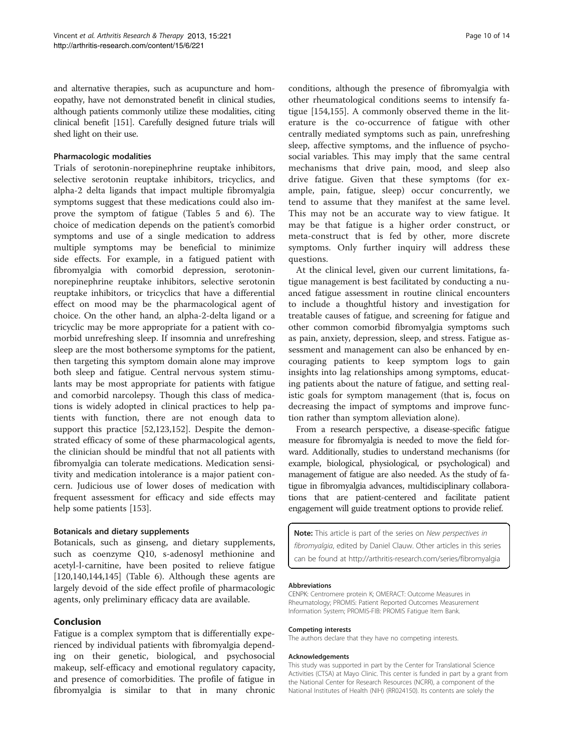and alternative therapies, such as acupuncture and homeopathy, have not demonstrated benefit in clinical studies, although patients commonly utilize these modalities, citing clinical benefit [[151\]](#page-13-0). Carefully designed future trials will shed light on their use.

# Pharmacologic modalities

Trials of serotonin-norepinephrine reuptake inhibitors, selective serotonin reuptake inhibitors, tricyclics, and alpha-2 delta ligands that impact multiple fibromyalgia symptoms suggest that these medications could also improve the symptom of fatigue (Tables [5](#page-6-0) and [6\)](#page-7-0). The choice of medication depends on the patient's comorbid symptoms and use of a single medication to address multiple symptoms may be beneficial to minimize side effects. For example, in a fatigued patient with fibromyalgia with comorbid depression, serotoninnorepinephrine reuptake inhibitors, selective serotonin reuptake inhibitors, or tricyclics that have a differential effect on mood may be the pharmacological agent of choice. On the other hand, an alpha-2-delta ligand or a tricyclic may be more appropriate for a patient with comorbid unrefreshing sleep. If insomnia and unrefreshing sleep are the most bothersome symptoms for the patient, then targeting this symptom domain alone may improve both sleep and fatigue. Central nervous system stimulants may be most appropriate for patients with fatigue and comorbid narcolepsy. Though this class of medications is widely adopted in clinical practices to help patients with function, there are not enough data to support this practice [\[52](#page-11-0)[,123](#page-12-0)[,152\]](#page-13-0). Despite the demonstrated efficacy of some of these pharmacological agents, the clinician should be mindful that not all patients with fibromyalgia can tolerate medications. Medication sensitivity and medication intolerance is a major patient concern. Judicious use of lower doses of medication with frequent assessment for efficacy and side effects may help some patients [[153\]](#page-13-0).

## Botanicals and dietary supplements

Botanicals, such as ginseng, and dietary supplements, such as coenzyme Q10, s-adenosyl methionine and acetyl-l-carnitine, have been posited to relieve fatigue [[120,](#page-12-0)[140](#page-13-0),[144,145](#page-13-0)] (Table [6](#page-7-0)). Although these agents are largely devoid of the side effect profile of pharmacologic agents, only preliminary efficacy data are available.

# Conclusion

Fatigue is a complex symptom that is differentially experienced by individual patients with fibromyalgia depending on their genetic, biological, and psychosocial makeup, self-efficacy and emotional regulatory capacity, and presence of comorbidities. The profile of fatigue in fibromyalgia is similar to that in many chronic conditions, although the presence of fibromyalgia with other rheumatological conditions seems to intensify fatigue [[154](#page-13-0),[155](#page-13-0)]. A commonly observed theme in the literature is the co-occurrence of fatigue with other centrally mediated symptoms such as pain, unrefreshing sleep, affective symptoms, and the influence of psychosocial variables. This may imply that the same central mechanisms that drive pain, mood, and sleep also drive fatigue. Given that these symptoms (for example, pain, fatigue, sleep) occur concurrently, we tend to assume that they manifest at the same level. This may not be an accurate way to view fatigue. It may be that fatigue is a higher order construct, or meta-construct that is fed by other, more discrete symptoms. Only further inquiry will address these questions.

At the clinical level, given our current limitations, fatigue management is best facilitated by conducting a nuanced fatigue assessment in routine clinical encounters to include a thoughtful history and investigation for treatable causes of fatigue, and screening for fatigue and other common comorbid fibromyalgia symptoms such as pain, anxiety, depression, sleep, and stress. Fatigue assessment and management can also be enhanced by encouraging patients to keep symptom logs to gain insights into lag relationships among symptoms, educating patients about the nature of fatigue, and setting realistic goals for symptom management (that is, focus on decreasing the impact of symptoms and improve function rather than symptom alleviation alone).

From a research perspective, a disease-specific fatigue measure for fibromyalgia is needed to move the field forward. Additionally, studies to understand mechanisms (for example, biological, physiological, or psychological) and management of fatigue are also needed. As the study of fatigue in fibromyalgia advances, multidisciplinary collaborations that are patient-centered and facilitate patient engagement will guide treatment options to provide relief.

Note: This article is part of the series on New perspectives in fibromyalgia, edited by Daniel Clauw. Other articles in this series can be found at<http://arthritis-research.com/series/fibromyalgia>

#### Abbreviations

CENPK: Centromere protein K; OMERACT: Outcome Measures in Rheumatology; PROMIS: Patient Reported Outcomes Measurement Information System; PROMIS-FIB: PROMIS Fatigue Item Bank.

#### Competing interests

The authors declare that they have no competing interests.

#### Acknowledgements

This study was supported in part by the Center for Translational Science Activities (CTSA) at Mayo Clinic. This center is funded in part by a grant from the National Center for Research Resources (NCRR), a component of the National Institutes of Health (NIH) (RR024150). Its contents are solely the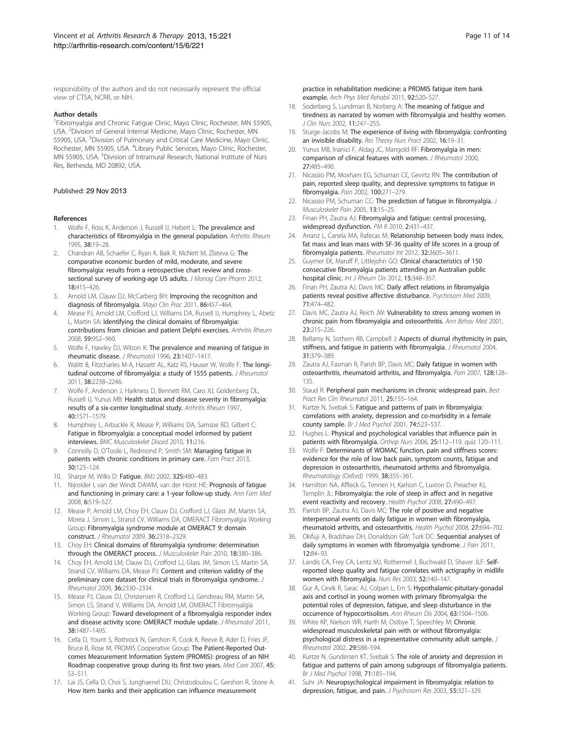<span id="page-10-0"></span>responsibility of the authors and do not necessarily represent the official view of CTSA, NCRR, or NIH.

### Author details

<sup>1</sup>Fibromyalgia and Chronic Fatigue Clinic, Mayo Clinic, Rochester, MN 55905, USA. <sup>2</sup> Division of General Internal Medicine, Mayo Clinic, Rochester, MN 55905, USA. <sup>3</sup>Division of Pulmonary and Critical Care Medicine, Mayo Clinic, Rochester, MN 55905, USA. <sup>4</sup>Library Public Services, Mayo Clinic, Rochester, MN 55905, USA. <sup>5</sup>Division of Intramural Research, National Institute of Nurs Res, Bethesda, MD 20892, USA.

#### Published: 29 Nov 2013

#### References

- Wolfe F, Ross K, Anderson J, Russell IJ, Hebert L: The prevalence and characteristics of fibromyalgia in the general population. Arthritis Rheum 1995, 38:19–28.
- 2. Chandran AB, Schaefer C, Ryan K, Baik R, McNett M, Zlateva G: The comparative economic burden of mild, moderate, and severe fibromyalgia: results from a retrospective chart review and crosssectional survey of working-age US adults. J Manag Care Pharm 2012, 18:415–426.
- 3. Arnold LM, Clauw DJ, McCarberg BH: Improving the recognition and diagnosis of fibromyalgia. Mayo Clin Proc 2011, 86:457–464.
- 4. Mease PJ, Arnold LM, Crofford LJ, Williams DA, Russell IJ, Humphrey L, Abetz L, Martin SA: Identifying the clinical domains of fibromyalgia: contributions from clinician and patient Delphi exercises. Arthritis Rheum 2008, 59:952–960.
- Wolfe F, Hawley DJ, Wilson K: The prevalence and meaning of fatigue in rheumatic disease. J Rheumatol 1996, 23:1407–1417.
- Walitt B, Fitzcharles M-A, Hassett AL, Katz RS, Hauser W, Wolfe F: The longitudinal outcome of fibromyalgia: a study of 1555 patients. J Rheumatol 2011, 38:2238–2246.
- 7. Wolfe F, Anderson J, Harkness D, Bennett RM, Caro XJ, Goldenberg DL, Russell IJ, Yunus MB: Health status and disease severity in fibromyalgia: results of a six-center longitudinal study. Arthritis Rheum 1997, 40:1571–1579.
- Humphrey L, Arbuckle R, Mease P, Williams DA, Samsoe BD, Gilbert C: Fatigue in fibromyalgia: a conceptual model informed by patient interviews. BMC Musculoskelet Disord 2010, 11:216.
- 9. Connolly D, O'Toole L, Redmond P, Smith SM: Managing fatigue in patients with chronic conditions in primary care. Fam Pract 2013, 30:123–124.
- 10. Sharpe M, Wilks D: Fatique. BMJ 2002, 325:480-483.
- 11. Nijrolder I, van der Windt DAWM, van der Horst HE: Prognosis of fatigue and functioning in primary care: a 1-year follow-up study. Ann Fam Med 2008, 6:519–527.
- 12. Mease P, Arnold LM, Choy EH, Clauw DJ, Crofford LJ, Glass JM, Martin SA, Morea J, Simon L, Strand CV, Williams DA, OMERACT Fibromyalgia Working Group: Fibromyalgia syndrome module at OMERACT 9: domain construct. J Rheumatol 2009, 36:2318–2329.
- 13. Choy EH: Clinical domains of fibromyalgia syndrome: determination through the OMERACT process. J Musculoskelet Pain 2010, 18:380–386.
- 14. Choy EH, Arnold LM, Clauw DJ, Crofford LJ, Glass JM, Simon LS, Martin SA, Strand CV, Williams DA, Mease PJ: Content and criterion validity of the preliminary core dataset for clinical trials in fibromyalgia syndrome. J Rheumatol 2009, 36:2330–2334.
- 15. Mease PJ, Clauw DJ, Christensen R, Crofford LJ, Gendreau RM, Martin SA, Simon LS, Strand V, Williams DA, Arnold LM, OMERACT Fibromyalgia Working Group: Toward development of a fibromyalgia responder index and disease activity score: OMERACT module update. *J Rheumatol* 2011, 38:1487–1495.
- 16. Cella D, Yount S, Rothrock N, Gershon R, Cook K, Reeve B, Ader D, Fries JF, Bruce B, Rose M, PROMIS Cooperative Group: The Patient-Reported Outcomes Measurement Information System (PROMIS): progress of an NIH Roadmap cooperative group during its first two years. Med Care 2007, 45: S3–S11.
- 17. Lai JS, Cella D, Choi S, Junghaenel DU, Christodoulou C, Gershon R, Stone A: How item banks and their application can influence measurement
- 18. Soderberg S, Lundman B, Norberg A: The meaning of fatigue and tiredness as narrated by women with fibromyalgia and healthy women. J Clin Nurs 2002, 11:247–255.
- 19. Sturge-Jacobs M: The experience of living with fibromyalgia: confronting an invisible disability. Res Theory Nurs Pract 2002, 16:19–31.
- 20. Yunus MB, Inanici F, Aldag JC, Mangold RF: Fibromyalgia in men: comparison of clinical features with women. J Rheumatol 2000, 27:485–490.
- 21. Nicassio PM, Moxham EG, Schuman CE, Gevirtz RN: The contribution of pain, reported sleep quality, and depressive symptoms to fatigue in fibromyalgia. Pain 2002, 100:271–279.
- 22. Nicassio PM, Schuman CC: The prediction of fatigue in fibromyalgia. J Musculoskelet Pain 2005, 13:15–25.
- 23. Finan PH, Zautra AJ: Fibromyalgia and fatigue: central processing, widespread dysfunction. PM R 2010, 2:431–437.
- 24. Arranz L, Canela MA, Rafecas M: Relationship between body mass index, fat mass and lean mass with SF-36 quality of life scores in a group of fibromyalgia patients. Rheumatol Int 2012, 32:3605–3611.
- 25. Guymer EK, Maruff P, Littlejohn GO: Clinical characteristics of 150 consecutive fibromyalgia patients attending an Australian public hospital clinic. Int J Rheum Dis 2012, 15:348–357.
- 26. Finan PH, Zautra AJ, Davis MC: Daily affect relations in fibromyalgia patients reveal positive affective disturbance. Psychosom Med 2009, 71:474–482.
- 27. Davis MC, Zautra AJ, Reich JW: Vulnerability to stress among women in chronic pain from fibromyalgia and osteoarthritis. Ann Behav Med 2001, 23:215–226.
- 28. Bellamy N, Sothern RB, Campbell J: Aspects of diurnal rhythmicity in pain, stiffness, and fatigue in patients with fibromyalgia. J Rheumatol 2004, 31:379–389.
- 29. Zautra AJ, Fasman R, Parish BP, Davis MC: Daily fatigue in women with osteoarthritis, rheumatoid arthritis, and fibromyalgia. Pain 2007, 128:128– 135.
- 30. Staud R: Peripheral pain mechanisms in chronic widespread pain. Best Pract Res Clin Rheumatol 2011, 25:155–164.
- 31. Kurtze N, Svebak S: Fatigue and patterns of pain in fibromyalgia: correlations with anxiety, depression and co-morbidity in a female county sample. Br J Med Psychol 2001, 74:523–537.
- 32. Hughes L: Physical and psychological variables that influence pain in patients with fibromyalgia. Orthop Nurs 2006, 25:112–119. quiz 120–111.
- 33. Wolfe F: Determinants of WOMAC function, pain and stiffness scores: evidence for the role of low back pain, symptom counts, fatigue and depression in osteoarthritis, rheumatoid arthritis and fibromyalgia. Rheumatology (Oxford) 1999, 38:355–361.
- 34. Hamilton NA, Affleck G, Tennen H, Karlson C, Luxton D, Preacher KJ, Templin JL: Fibromyalgia: the role of sleep in affect and in negative event reactivity and recovery. Health Psychol 2008, 27:490–497.
- 35. Parrish BP, Zautra AJ, Davis MC: The role of positive and negative interpersonal events on daily fatigue in women with fibromyalgia, rheumatoid arthritis, and osteoarthritis. Health Psychol 2008, 27:694–702.
- 36. Okifuji A, Bradshaw DH, Donaldson GW, Turk DC: Sequential analyses of daily symptoms in women with fibromyalgia syndrome. J Pain 2011, 12:84–93.
- 37. Landis CA, Frey CA, Lentz MJ, Rothermel J, Buchwald D, Shaver JLF: Selfreported sleep quality and fatigue correlates with actigraphy in midlife women with fibromyalgia. Nurs Res 2003, 52:140–147.
- 38. Gur A, Cevik R, Sarac AJ, Colpan L, Em S: Hypothalamic-pituitary-gonadal axis and cortisol in young women with primary fibromyalgia: the potential roles of depression, fatigue, and sleep disturbance in the occurrence of hypocortisolism. Ann Rheum Dis 2004, 63:1504–1506.
- 39. White KP, Nielson WR, Harth M, Ostbye T, Speechley M: Chronic widespread musculoskeletal pain with or without fibromyalgia: psychological distress in a representative community adult sample. Rheumatol 2002, 29:588–594.
- 40. Kurtze N, Gundersen KT, Svebak S: The role of anxiety and depression in fatigue and patterns of pain among subgroups of fibromyalgia patients. Br J Med Psychol 1998, 71:185–194.
- 41. Suhr JA: Neuropsychological impairment in fibromyalgia: relation to depression, fatigue, and pain. J Psychosom Res 2003, 55:321-329.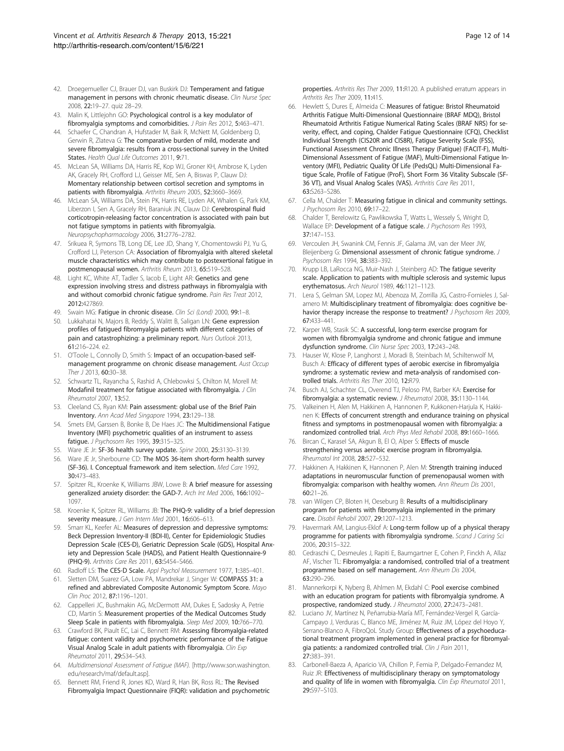- <span id="page-11-0"></span>42. Droegemueller CJ, Brauer DJ, van Buskirk DJ: Temperament and fatigue management in persons with chronic rheumatic disease. Clin Nurse Spec 2008, 22:19–27. quiz 28–29.
- 43. Malin K, Littlejohn GO: Psychological control is a key modulator of fibromyalgia symptoms and comorbidities. J Pain Res 2012, 5:463-471.
- 44. Schaefer C, Chandran A, Hufstader M, Baik R, McNett M, Goldenberg D, Gerwin R, Zlateva G: The comparative burden of mild, moderate and severe fibromyalgia: results from a cross-sectional survey in the United States. Health Qual Life Outcomes 2011, 9:71.
- 45. McLean SA, Williams DA, Harris RE, Kop WJ, Groner KH, Ambrose K, Lyden AK, Gracely RH, Crofford LJ, Geisser ME, Sen A, Biswas P, Clauw DJ: Momentary relationship between cortisol secretion and symptoms in patients with fibromyalgia. Arthritis Rheum 2005, 52:3660–3669.
- 46. McLean SA, Williams DA, Stein PK, Harris RE, Lyden AK, Whalen G, Park KM, Liberzon I, Sen A, Gracely RH, Baraniuk JN, Clauw DJ: Cerebrospinal fluid corticotropin-releasing factor concentration is associated with pain but not fatigue symptoms in patients with fibromyalgia. Neuropsychopharmacology 2006, 31:2776–2782.
- 47. Srikuea R, Symons TB, Long DE, Lee JD, Shang Y, Chomentowski PJ, Yu G, Crofford LJ, Peterson CA: Association of fibromyalgia with altered skeletal muscle characteristics which may contribute to postexertional fatigue in postmenopausal women. Arthritis Rheum 2013, 65:519–528.
- 48. Light KC, White AT, Tadler S, Iacob E, Light AR: Genetics and gene expression involving stress and distress pathways in fibromyalgia with and without comorbid chronic fatigue syndrome. Pain Res Treat 2012, 2012:427869.
- 49. Swain MG: Fatigue in chronic disease. Clin Sci (Lond) 2000, 99:1-8.
- 50. Lukkahatai N, Majors B, Reddy S, Walitt B, Saligan LN: Gene expression profiles of fatigued fibromyalgia patients with different categories of pain and catastrophizing: a preliminary report. Nurs Outlook 2013, 61:216–224. e2.
- 51. O'Toole L, Connolly D, Smith S: Impact of an occupation-based selfmanagement programme on chronic disease management. Aust Occup Ther J 2013, 60:30-38.
- 52. Schwartz TL, Rayancha S, Rashid A, Chlebowksi S, Chilton M, Morell M: Modafinil treatment for fatigue associated with fibromyalgia. J Clin Rheumatol 2007, 13:52.
- 53. Cleeland CS, Ryan KM: Pain assessment: global use of the Brief Pain Inventory. Ann Acad Med Singapore 1994, 23:129–138.
- 54. Smets EM, Garssen B, Bonke B, De Haes JC: The Multidimensional Fatigue Inventory (MFI) psychometric qualities of an instrument to assess fatigue. J Psychosom Res 1995, 39:315–325.
- 55. Ware JE Jr: SF-36 health survey update. Spine 2000, 25:3130–3139.
- 56. Ware JE Jr, Sherbourne CD: The MOS 36-item short-form health survey (SF-36). I. Conceptual framework and item selection. Med Care 1992, 30:473–483.
- 57. Spitzer RL, Kroenke K, Williams JBW, Lowe B: A brief measure for assessing generalized anxiety disorder: the GAD-7. Arch Int Med 2006, 166:1092– 1097.
- 58. Kroenke K, Spitzer RL, Williams JB: The PHQ-9: validity of a brief depression severity measure. J Gen Intern Med 2001, 16:606-613.
- 59. Smarr KL, Keefer AL: Measures of depression and depressive symptoms: Beck Depression Inventory-II (BDI-II), Center for Epidemiologic Studies Depression Scale (CES-D), Geriatric Depression Scale (GDS), Hospital Anxiety and Depression Scale (HADS), and Patient Health Questionnaire-9 (PHQ-9). Arthritis Care Res 2011, 63:S454–S466.
- 60. Radloff LS: The CES-D Scale. Appl Psychol Measurement 1977, 1:385–401.
- 61. Sletten DM, Suarez GA, Low PA, Mandrekar J, Singer W: COMPASS 31: a refined and abbreviated Composite Autonomic Symptom Score. Mayo Clin Proc 2012, 87:1196–1201.
- 62. Cappelleri JC, Bushmakin AG, McDermott AM, Dukes E, Sadosky A, Petrie CD, Martin S: Measurement properties of the Medical Outcomes Study Sleep Scale in patients with fibromyalgia. Sleep Med 2009, 10:766–770.
- 63. Crawford BK, Piault EC, Lai C, Bennett RM: Assessing fibromyalgia-related fatigue: content validity and psychometric performance of the Fatigue Visual Analog Scale in adult patients with fibromyalgia. Clin Exp Rheumatol 2011, 29:S34–S43.
- 64. Multidimensional Assessment of Fatigue (MAF). [[http://www.son.washington.](http://www.son.washington.edu/research/maf/default.asp) [edu/research/maf/default.asp\]](http://www.son.washington.edu/research/maf/default.asp).
- 65. Bennett RM, Friend R, Jones KD, Ward R, Han BK, Ross RL: The Revised Fibromyalgia Impact Questionnaire (FIQR): validation and psychometric

properties. Arthritis Res Ther 2009, 11:R120. A published erratum appears in Arthritis Res Ther 2009, 11:415.

- 66. Hewlett S, Dures E, Almeida C: Measures of fatigue: Bristol Rheumatoid Arthritis Fatigue Multi-Dimensional Questionnaire (BRAF MDQ), Bristol Rheumatoid Arthritis Fatigue Numerical Rating Scales (BRAF NRS) for severity, effect, and coping, Chalder Fatigue Questionnaire (CFQ), Checklist Individual Strength (CIS20R and CIS8R), Fatigue Severity Scale (FSS), Functional Assessment Chronic Illness Therapy (Fatigue) (FACIT-F), Multi-Dimensional Assessment of Fatigue (MAF), Multi-Dimensional Fatigue Inventory (MFI), Pediatric Quality Of Life (PedsQL) Multi-Dimensional Fatigue Scale, Profile of Fatigue (ProF), Short Form 36 Vitality Subscale (SF-36 VT), and Visual Analog Scales (VAS). Arthritis Care Res 2011, 63:S263–S286.
- 67. Cella M, Chalder T: Measuring fatigue in clinical and community settings. J Psychosom Res 2010, 69:17–22.
- Chalder T, Berelowitz G, Pawlikowska T, Watts L, Wessely S, Wright D, Wallace EP: Development of a fatique scale. J Psychosom Res 1993, 37:147–153.
- 69. Vercoulen JH, Swanink CM, Fennis JF, Galama JM, van der Meer JW, Bleijenberg G: Dimensional assessment of chronic fatigue syndrome. J Psychosom Res 1994, 38:383–392.
- 70. Krupp LB, LaRocca NG, Muir-Nash J, Steinberg AD: The fatigue severity scale. Application to patients with multiple sclerosis and systemic lupus erythematosus. Arch Neurol 1989, 46:1121–1123.
- 71. Lera S, Gelman SM, Lopez MJ, Abenoza M, Zorrilla JG, Castro-Fornieles J, Salamero M: Multidisciplinary treatment of fibromyalgia: does cognitive behavior therapy increase the response to treatment? J Psychosom Res 2009, 67:433–441.
- 72. Karper WB, Stasik SC: A successful, long-term exercise program for women with fibromyalgia syndrome and chronic fatigue and immune dysfunction syndrome. Clin Nurse Spec 2003, 17:243–248.
- 73. Hauser W, Klose P, Langhorst J, Moradi B, Steinbach M, Schiltenwolf M, Busch A: Efficacy of different types of aerobic exercise in fibromyalgia syndrome: a systematic review and meta-analysis of randomised controlled trials. Arthritis Res Ther 2010, 12:R79.
- 74. Busch AJ, Schachter CL, Overend TJ, Peloso PM, Barber KA: Exercise for fibromyalgia: a systematic review. J Rheumatol 2008, 35:1130–1144.
- 75. Valkeinen H, Alen M, Hakkinen A, Hannonen P, Kukkonen-Harjula K, Hakkinen K: Effects of concurrent strength and endurance training on physical fitness and symptoms in postmenopausal women with fibromyalgia: a randomized controlled trial. Arch Phys Med Rehabil 2008, 89:1660–1666.
- 76. Bircan C, Karasel SA, Akgun B, El O, Alper S: Effects of muscle strengthening versus aerobic exercise program in fibromyalgia. Rheumatol Int 2008, 28:527–532.
- 77. Hakkinen A, Hakkinen K, Hannonen P, Alen M: Strength training induced adaptations in neuromuscular function of premenopausal women with fibromyalgia: comparison with healthy women. Ann Rheum Dis 2001, 60:21–26.
- 78. van Wilgen CP, Bloten H, Oeseburg B: Results of a multidisciplinary program for patients with fibromyalgia implemented in the primary care. Disabil Rehabil 2007, 29:1207–1213.
- 79. Havermark AM, Langius-Eklof A: Long-term follow up of a physical therapy programme for patients with fibromyalgia syndrome. Scand J Caring Sci 2006, 20:315–322.
- 80. Cedraschi C, Desmeules J, Rapiti E, Baumgartner E, Cohen P, Finckh A, Allaz AF, Vischer TL: Fibromyalgia: a randomised, controlled trial of a treatment programme based on self management. Ann Rheum Dis 2004, 63:290–296.
- 81. Mannerkorpi K, Nyberg B, Ahlmen M, Ekdahl C: Pool exercise combined with an education program for patients with fibromyalgia syndrome. A prospective, randomized study. J Rheumatol 2000, 27:2473–2481.
- 82. Luciano JV, Martínez N, Peñarrubia-María MT, Fernández-Vergel R, García-Campayo J, Verduras C, Blanco ME, Jiménez M, Ruiz JM, López del Hoyo Y, Serrano-Blanco A, FibroQoL Study Group: Effectiveness of a psychoeducational treatment program implemented in general practice for fibromyalgia patients: a randomized controlled trial. Clin J Pain 2011, 27:383–391.
- 83. Carbonell-Baeza A, Aparicio VA, Chillon P, Femia P, Delgado-Fernandez M, Ruiz JR: Effectiveness of multidisciplinary therapy on symptomatology and quality of life in women with fibromyalgia. Clin Exp Rheumatol 2011, 29:S97–S103.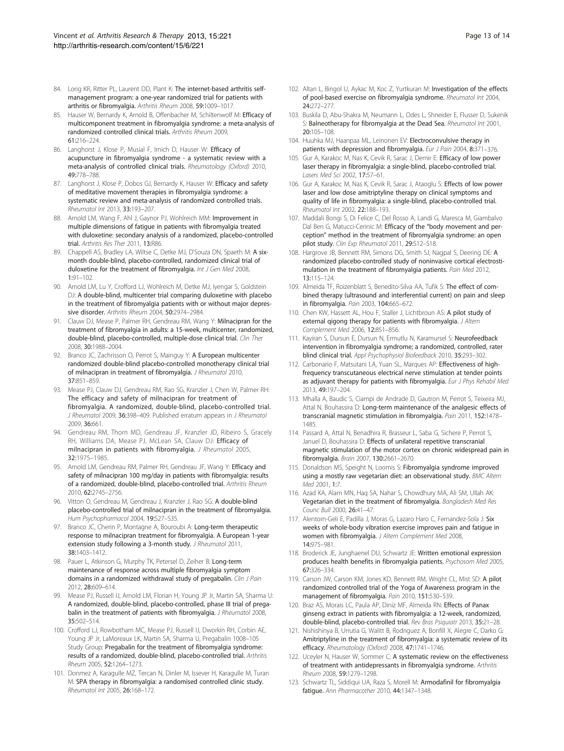- <span id="page-12-0"></span>84. Lorig KR, Ritter PL, Laurent DD, Plant K: The internet-based arthritis selfmanagement program: a one-year randomized trial for patients with arthritis or fibromyalgia. Arthritis Rheum 2008, 59:1009–1017.
- 85. Hauser W, Bernardy K, Arnold B, Offenbacher M, Schiltenwolf M: Efficacy of multicomponent treatment in fibromyalgia syndrome: a meta-analysis of randomized controlled clinical trials. Arthritis Rheum 2009, 61:216–224.
- 86. Langhorst J, Klose P, Musial F, Irnich D, Hauser W: Efficacy of acupuncture in fibromyalgia syndrome - a systematic review with a meta-analysis of controlled clinical trials. Rheumatology (Oxford) 2010, 49:778–788.
- 87. Langhorst J, Klose P, Dobos GJ, Bernardy K, Hauser W: Efficacy and safety of meditative movement therapies in fibromyalgia syndrome: a systematic review and meta-analysis of randomized controlled trials. Rheumatol Int 2013, 33:193–207.
- 88. Arnold LM, Wang F, Ahl J, Gaynor PJ, Wohlreich MM: Improvement in multiple dimensions of fatigue in patients with fibromyalgia treated with duloxetine: secondary analysis of a randomized, placebo-controlled trial. Arthritis Res Ther 2011, 13:R86.
- 89. Chappell AS, Bradley LA, Wiltse C, Detke MJ, D'Souza DN, Spaeth M: A sixmonth double-blind, placebo-controlled, randomized clinical trial of duloxetine for the treatment of fibromyalgia. Int J Gen Med 2008, 1:91–102.
- 90. Arnold LM, Lu Y, Crofford LJ, Wohlreich M, Detke MJ, Iyengar S, Goldstein DJ: A double-blind, multicenter trial comparing duloxetine with placebo in the treatment of fibromyalgia patients with or without major depressive disorder. Arthritis Rheum 2004, 50:2974-2984.
- 91. Clauw DJ, Mease P, Palmer RH, Gendreau RM, Wang Y: Milnacipran for the treatment of fibromyalgia in adults: a 15-week, multicenter, randomized, double-blind, placebo-controlled, multiple-dose clinical trial. Clin Ther 2008, 30:1988–2004.
- 92. Branco JC, Zachrisson O, Perrot S, Mainguy Y: A European multicenter randomized double-blind placebo-controlled monotherapy clinical trial of milnacipran in treatment of fibromyalgia. J Rheumatol 2010, 37:851–859.
- 93. Mease PJ, Clauw DJ, Gendreau RM, Rao SG, Kranzler J, Chen W, Palmer RH: The efficacy and safety of milnacipran for treatment of fibromyalgia. A randomized, double-blind, placebo-controlled trial. J Rheumatol 2009, 36:398–409. Published erratum appears in J Rheumatol 2009, 36:661.
- 94. Gendreau RM, Thorn MD, Gendreau JF, Kranzler JD, Ribeiro S, Gracely RH, Williams DA, Mease PJ, McLean SA, Clauw DJ: Efficacy of milnacipran in patients with fibromyalgia. J Rheumatol 2005, 32:1975–1985.
- 95. Arnold LM, Gendreau RM, Palmer RH, Gendreau JF, Wang Y: Efficacy and safety of milnacipran 100 mg/day in patients with fibromyalgia: results of a randomized, double-blind, placebo-controlled trial. Arthritis Rheum 2010, 62:2745–2756.
- 96. Vitton O, Gendreau M, Gendreau J, Kranzler J, Rao SG: A double-blind placebo-controlled trial of milnacipran in the treatment of fibromyalgia. Hum Psychopharmacol 2004, 19:S27-S35.
- 97. Branco JC, Cherin P, Montagne A, Bouroubi A: Long-term therapeutic response to milnacipran treatment for fibromyalgia. A European 1-year extension study following a 3-month study. J Rheumatol 2011, 38:1403–1412.
- 98. Pauer L, Atkinson G, Murphy TK, Petersel D, Zeiher B: Long-term maintenance of response across multiple fibromyalgia symptom domains in a randomized withdrawal study of pregabalin. Clin J Pain 2012, 28:609–614.
- 99. Mease PJ, Russell IJ, Arnold LM, Florian H, Young JP Jr, Martin SA, Sharma U: A randomized, double-blind, placebo-controlled, phase III trial of pregabalin in the treatment of patients with fibromyalgia. J Rheumatol 2008, 35:502–514.
- 100. Crofford LJ, Rowbotham MC, Mease PJ, Russell IJ, Dworkin RH, Corbin AE, Young JP Jr, LaMoreaux LK, Martin SA, Sharma U, Pregabalin 1008–105 Study Group: Pregabalin for the treatment of fibromyalgia syndrome: results of a randomized, double-blind, placebo-controlled trial. Arthritis Rheum 2005, 52:1264–1273.
- 101. Donmez A, Karagulle MZ, Tercan N, Dinler M, Issever H, Karagulle M, Turan M: SPA therapy in fibromyalgia: a randomised controlled clinic study. Rheumatol Int 2005, 26:168–172.
- 102. Altan L, Bingol U, Aykac M, Koc Z, Yurtkuran M: Investigation of the effects of pool-based exercise on fibromyalgia syndrome. Rheumatol Int 2004, 24:272–277.
- 103. Buskila D, Abu-Shakra M, Neumann L, Odes L, Shneider E, Flusser D, Sukenik S: Balneotherapy for fibromyalgia at the Dead Sea. Rheumatol Int 2001, 20:105–108.
- 104. Huuhka MJ, Haanpaa ML, Leinonen FV: Electroconvulsive therapy in patients with depression and fibromyalgia. Eur J Pain 2004, 8:371-376.
- 105. Gur A, Karakoc M, Nas K, Cevik R, Sarac J, Demir E: Efficacy of low power laser therapy in fibromyalgia: a single-blind, placebo-controlled trial. Lasers Med Sci 2002, 17:57–61.
- 106. Gur A, Karakoc M, Nas K, Cevik R, Sarac J, Ataoglu S: Effects of low power laser and low dose amitriptyline therapy on clinical symptoms and quality of life in fibromyalgia: a single-blind, placebo-controlled trial. Rheumatol Int 2002, 22:188–193.
- 107. Maddali Bongi S, Di Felice C, Del Rosso A, Landi G, Maresca M, Giambalvo Dal Ben G, Matucci-Cerinic M: Efficacy of the "body movement and perception" method in the treatment of fibromyalgia syndrome: an open pilot study. Clin Exp Rheumatol 2011, 29:S12-S18.
- 108. Hargrove JB, Bennett RM, Simons DG, Smith SJ, Nagpal S, Deering DE: A randomized placebo-controlled study of noninvasive cortical electrostimulation in the treatment of fibromyalgia patients. Pain Med 2012, 13:115–124.
- 109. Almeida TF, Roizenblatt S, Benedito-Silva AA, Tufik S: The effect of combined therapy (ultrasound and interferential current) on pain and sleep in fibromyalgia. Pain 2003, 104:665–672.
- 110. Chen KW, Hassett AL, Hou F, Staller J, Lichtbroun AS: A pilot study of external qigong therapy for patients with fibromyalgia. J Altern Complement Med 2006, 12:851–856.
- 111. Kayiran S, Dursun E, Dursun N, Ermutlu N, Karamursel S: Neurofeedback intervention in fibromyalgia syndrome; a randomized, controlled, rater blind clinical trial. Appl Psychophysiol Biofeedback 2010, 35:293–302.
- 112. Carbonario F, Matsutani LA, Yuan SL, Marques AP: Effectiveness of highfrequency transcutaneous electrical nerve stimulation at tender points as adjuvant therapy for patients with fibromyalgia. Eur J Phys Rehabil Med 2013, 49:197–204.
- 113. Mhalla A, Baudic S, Ciampi de Andrade D, Gautron M, Perrot S, Teixeira MJ, Attal N, Bouhassira D: Long-term maintenance of the analgesic effects of transcranial magnetic stimulation in fibromyalgia. Pain 2011, 152:1478– 1485.
- 114. Passard A, Attal N, Benadhira R, Brasseur L, Saba G, Sichere P, Perrot S, Januel D, Bouhassira D: Effects of unilateral repetitive transcranial magnetic stimulation of the motor cortex on chronic widespread pain in fibromyalgia. Brain 2007, 130:2661–2670.
- 115. Donaldson MS, Speight N, Loomis S: Fibromyalgia syndrome improved using a mostly raw vegetarian diet: an observational study. BMC Altern Med 2001, 1:7.
- 116. Azad KA, Alam MN, Haq SA, Nahar S, Chowdhury MA, Ali SM, Ullah AK: Vegetarian diet in the treatment of fibromyalgia. Bangladesh Med Res Counc Bull 2000, 26:41–47.
- 117. Alentorn-Geli E, Padilla J, Moras G, Lazaro Haro C, Fernandez-Sola J: Six weeks of whole-body vibration exercise improves pain and fatigue in women with fibromyalgia. J Altern Complement Med 2008, 14:975–981.
- 118. Broderick JE, Junghaenel DU, Schwartz JE: Written emotional expression produces health benefits in fibromyalgia patients. Psychosom Med 2005, 67:326–334.
- 119. Carson JW, Carson KM, Jones KD, Bennett RM, Wright CL, Mist SD: A pilot randomized controlled trial of the Yoga of Awareness program in the management of fibromyalgia. Pain 2010, 151:530-539.
- 120. Braz AS, Morais LC, Paula AP, Diniz MF, Almeida RN: Effects of Panax ginseng extract in patients with fibromyalgia: a 12-week, randomized, double-blind, placebo-controlled trial. Rev Bras Psiquiatr 2013, 35:21–28.
- 121. Nishishinya B, Urrutia G, Walitt B, Rodriguez A, Bonfill X, Alegre C, Darko G: Amitriptyline in the treatment of fibromyalgia: a systematic review of its efficacy. Rheumatology (Oxford) 2008, 47:1741–1746.
- 122. Uceyler N, Hauser W, Sommer C: A systematic review on the effectiveness of treatment with antidepressants in fibromyalgia syndrome. Arthritis Rheum 2008, 59:1279–1298.
- 123. Schwartz TL, Siddiqui UA, Raza S, Morell M: Armodafinil for fibromyalgia fatigue. Ann Pharmacother 2010, 44:1347–1348.